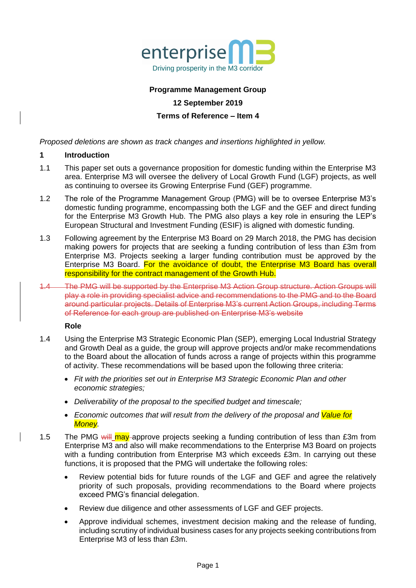

## **Programme Management Group**

## **12 September 2019**

## **Terms of Reference – Item 4**

*Proposed deletions are shown as track changes and insertions highlighted in yellow.* 

## **1 Introduction**

- 1.1 This paper set outs a governance proposition for domestic funding within the Enterprise M3 area. Enterprise M3 will oversee the delivery of Local Growth Fund (LGF) projects, as well as continuing to oversee its Growing Enterprise Fund (GEF) programme.
- 1.2 The role of the Programme Management Group (PMG) will be to oversee Enterprise M3's domestic funding programme, encompassing both the LGF and the GEF and direct funding for the Enterprise M3 Growth Hub. The PMG also plays a key role in ensuring the LEP's European Structural and Investment Funding (ESIF) is aligned with domestic funding.
- 1.3 Following agreement by the Enterprise M3 Board on 29 March 2018, the PMG has decision making powers for projects that are seeking a funding contribution of less than £3m from Enterprise M3. Projects seeking a larger funding contribution must be approved by the Enterprise M3 Board. For the avoidance of doubt, the Enterprise M3 Board has overall responsibility for the contract management of the Growth Hub.
- 1.4 The PMG will be supported by the Enterprise M3 Action Group structure. Action Groups will play a role in providing specialist advice and recommendations to the PMG and to the Board around particular projects. Details of Enterprise M3's current Action Groups, including Terms of Reference for each group are published on Enterprise M3's website

## **Role**

- 1.4 Using the Enterprise M3 Strategic Economic Plan (SEP), emerging Local Industrial Strategy and Growth Deal as a guide, the group will approve projects and/or make recommendations to the Board about the allocation of funds across a range of projects within this programme of activity. These recommendations will be based upon the following three criteria:
	- *Fit with the priorities set out in Enterprise M3 Strategic Economic Plan and other economic strategies;*
	- *Deliverability of the proposal to the specified budget and timescale;*
	- *Economic outcomes that will result from the delivery of the proposal and Value for Money.*
- 1.5 The PMG will may approve projects seeking a funding contribution of less than £3m from Enterprise M3 and also will make recommendations to the Enterprise M3 Board on projects with a funding contribution from Enterprise M3 which exceeds £3m. In carrying out these functions, it is proposed that the PMG will undertake the following roles:
	- Review potential bids for future rounds of the LGF and GEF and agree the relatively priority of such proposals, providing recommendations to the Board where projects exceed PMG's financial delegation.
	- Review due diligence and other assessments of LGF and GEF projects.
	- Approve individual schemes, investment decision making and the release of funding, including scrutiny of individual business cases for any projects seeking contributions from Enterprise M3 of less than £3m.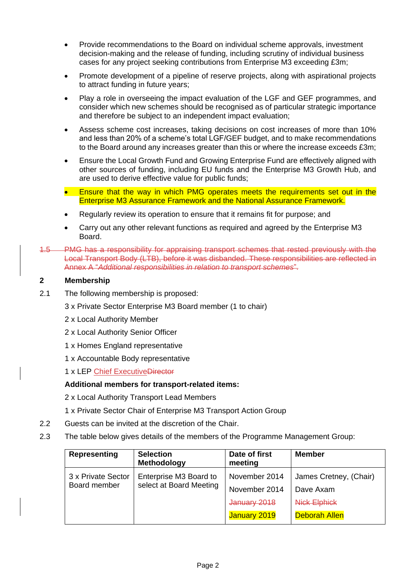- Provide recommendations to the Board on individual scheme approvals, investment decision-making and the release of funding, including scrutiny of individual business cases for any project seeking contributions from Enterprise M3 exceeding £3m;
- Promote development of a pipeline of reserve projects, along with aspirational projects to attract funding in future years;
- Play a role in overseeing the impact evaluation of the LGF and GEF programmes, and consider which new schemes should be recognised as of particular strategic importance and therefore be subject to an independent impact evaluation;
- Assess scheme cost increases, taking decisions on cost increases of more than 10% and less than 20% of a scheme's total LGF/GEF budget, and to make recommendations to the Board around any increases greater than this or where the increase exceeds £3m;
- Ensure the Local Growth Fund and Growing Enterprise Fund are effectively aligned with other sources of funding, including EU funds and the Enterprise M3 Growth Hub, and are used to derive effective value for public funds;
- Ensure that the way in which PMG operates meets the requirements set out in the Enterprise M3 Assurance Framework and the National Assurance Framework.
- Regularly review its operation to ensure that it remains fit for purpose; and
- Carry out any other relevant functions as required and agreed by the Enterprise M3 Board.
- 1.5 PMG has a responsibility for appraising transport schemes that rested previously with the Local Transport Body (LTB), before it was disbanded. These responsibilities are reflected in Annex A "*Additional responsibilities in relation to transport schemes*".

# **2 Membership**

- 2.1 The following membership is proposed:
	- 3 x Private Sector Enterprise M3 Board member (1 to chair)
	- 2 x Local Authority Member
	- 2 x Local Authority Senior Officer
	- 1 x Homes England representative
	- 1 x Accountable Body representative
	- 1 x LEP Chief ExecutiveDirector

# **Additional members for transport-related items:**

- 2 x Local Authority Transport Lead Members
- 1 x Private Sector Chair of Enterprise M3 Transport Action Group
- 2.2 Guests can be invited at the discretion of the Chair.
- 2.3 The table below gives details of the members of the Programme Management Group:

| Representing                       | <b>Selection</b><br>Methodology                   | Date of first<br>meeting | <b>Member</b>          |
|------------------------------------|---------------------------------------------------|--------------------------|------------------------|
| 3 x Private Sector<br>Board member | Enterprise M3 Board to<br>select at Board Meeting | November 2014            | James Cretney, (Chair) |
|                                    |                                                   | November 2014            | Dave Axam              |
|                                    |                                                   | January 2018             | <b>Nick Elphick</b>    |
|                                    |                                                   | January 2019             | <b>Deborah Allen</b>   |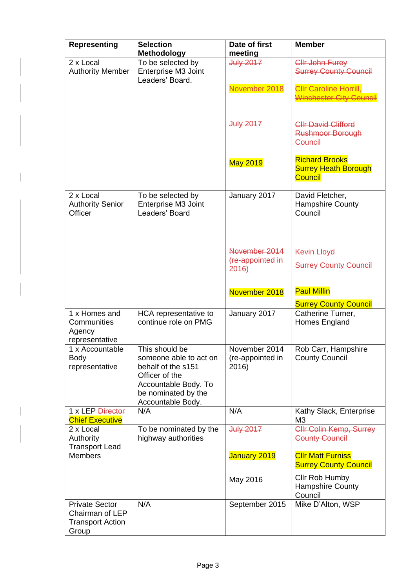| <b>Representing</b>                                                          | <b>Selection</b><br><b>Methodology</b>                                                                                                               | Date of first<br>meeting                   | <b>Member</b>                                                          |
|------------------------------------------------------------------------------|------------------------------------------------------------------------------------------------------------------------------------------------------|--------------------------------------------|------------------------------------------------------------------------|
| 2 x Local<br><b>Authority Member</b>                                         | To be selected by<br>Enterprise M3 Joint<br>Leaders' Board.                                                                                          | <b>July 2017</b>                           | Cllr John Furey<br><b>Surrey County Council</b>                        |
|                                                                              |                                                                                                                                                      | November 2018                              | <b>Cllr Caroline Horrill,</b><br>Winchester City Council               |
|                                                                              |                                                                                                                                                      | <b>July 2017</b>                           | <b>Cllr David Clifford</b><br><b>Rushmoor Borough</b><br>Council       |
|                                                                              |                                                                                                                                                      | <b>May 2019</b>                            | <b>Richard Brooks</b><br><b>Surrey Heath Borough</b><br><b>Council</b> |
| 2 x Local<br><b>Authority Senior</b><br>Officer                              | To be selected by<br>Enterprise M3 Joint<br>Leaders' Board                                                                                           | January 2017                               | David Fletcher,<br><b>Hampshire County</b><br>Council                  |
|                                                                              |                                                                                                                                                      | November 2014<br>(re-appointed in<br>2016  | <b>Kevin Lloyd</b><br><b>Surrey County Council</b>                     |
|                                                                              |                                                                                                                                                      | November 2018                              | <b>Paul Millin</b><br><b>Surrey County Council</b>                     |
| 1 x Homes and<br>Communities<br>Agency<br>representative                     | HCA representative to<br>continue role on PMG                                                                                                        | January 2017                               | Catherine Turner,<br>Homes England                                     |
| 1 x Accountable<br><b>Body</b><br>representative                             | This should be<br>someone able to act on<br>behalf of the s151<br>Officer of the<br>Accountable Body. To<br>be nominated by the<br>Accountable Body. | November 2014<br>(re-appointed in<br>2016) | Rob Carr, Hampshire<br><b>County Council</b>                           |
| 1 x LEP Director<br><b>Chief Executive</b>                                   | N/A                                                                                                                                                  | N/A                                        | Kathy Slack, Enterprise<br>M <sub>3</sub>                              |
| 2 x Local<br>Authority<br><b>Transport Lead</b>                              | To be nominated by the<br>highway authorities                                                                                                        | <b>July 2017</b>                           | <b>Cllr Colin Kemp, Surrey</b><br><b>County Council</b>                |
| <b>Members</b>                                                               |                                                                                                                                                      | January 2019                               | <b>CIIr Matt Furniss</b><br><b>Surrey County Council</b>               |
|                                                                              |                                                                                                                                                      | May 2016                                   | Cllr Rob Humby<br><b>Hampshire County</b><br>Council                   |
| <b>Private Sector</b><br>Chairman of LEP<br><b>Transport Action</b><br>Group | N/A                                                                                                                                                  | September 2015                             | Mike D'Alton, WSP                                                      |

 $\begin{array}{c} \hline \end{array}$ 

 $\overline{\phantom{a}}$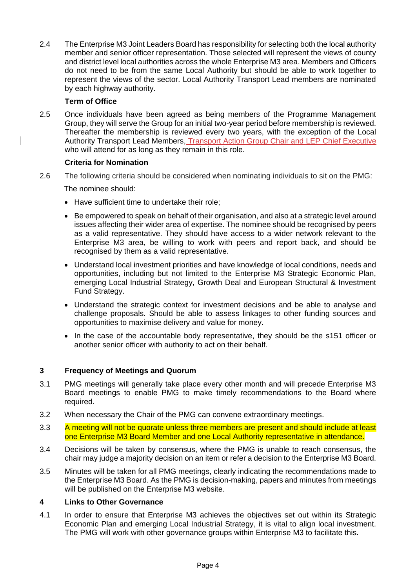2.4 The Enterprise M3 Joint Leaders Board has responsibility for selecting both the local authority member and senior officer representation. Those selected will represent the views of county and district level local authorities across the whole Enterprise M3 area. Members and Officers do not need to be from the same Local Authority but should be able to work together to represent the views of the sector. Local Authority Transport Lead members are nominated by each highway authority.

# **Term of Office**

2.5 Once individuals have been agreed as being members of the Programme Management Group, they will serve the Group for an initial two-year period before membership is reviewed. Thereafter the membership is reviewed every two years, with the exception of the Local Authority Transport Lead Members, Transport Action Group Chair and LEP Chief Executive who will attend for as long as they remain in this role.

# **Criteria for Nomination**

2.6 The following criteria should be considered when nominating individuals to sit on the PMG:

The nominee should:

- Have sufficient time to undertake their role;
- Be empowered to speak on behalf of their organisation, and also at a strategic level around issues affecting their wider area of expertise. The nominee should be recognised by peers as a valid representative. They should have access to a wider network relevant to the Enterprise M3 area, be willing to work with peers and report back, and should be recognised by them as a valid representative.
- Understand local investment priorities and have knowledge of local conditions, needs and opportunities, including but not limited to the Enterprise M3 Strategic Economic Plan, emerging Local Industrial Strategy, Growth Deal and European Structural & Investment Fund Strategy.
- Understand the strategic context for investment decisions and be able to analyse and challenge proposals. Should be able to assess linkages to other funding sources and opportunities to maximise delivery and value for money.
- In the case of the accountable body representative, they should be the s151 officer or another senior officer with authority to act on their behalf.

# **3 Frequency of Meetings and Quorum**

- 3.1 PMG meetings will generally take place every other month and will precede Enterprise M3 Board meetings to enable PMG to make timely recommendations to the Board where required.
- 3.2 When necessary the Chair of the PMG can convene extraordinary meetings.
- 3.3 A meeting will not be quorate unless three members are present and should include at least one Enterprise M3 Board Member and one Local Authority representative in attendance.
- 3.4 Decisions will be taken by consensus, where the PMG is unable to reach consensus, the chair may judge a majority decision on an item or refer a decision to the Enterprise M3 Board.
- 3.5 Minutes will be taken for all PMG meetings, clearly indicating the recommendations made to the Enterprise M3 Board. As the PMG is decision-making, papers and minutes from meetings will be published on the Enterprise M3 website.

# **4 Links to Other Governance**

4.1 In order to ensure that Enterprise M3 achieves the objectives set out within its Strategic Economic Plan and emerging Local Industrial Strategy, it is vital to align local investment. The PMG will work with other governance groups within Enterprise M3 to facilitate this.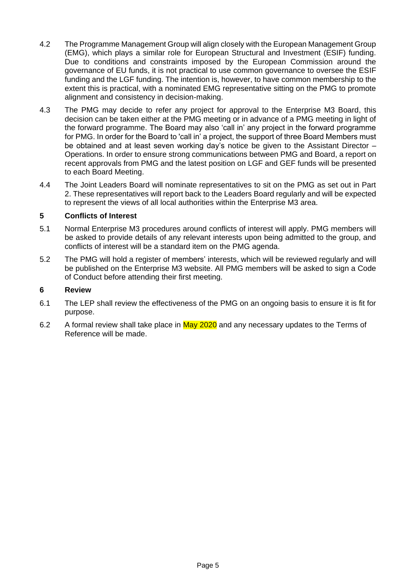- 4.2 The Programme Management Group will align closely with the European Management Group (EMG), which plays a similar role for European Structural and Investment (ESIF) funding. Due to conditions and constraints imposed by the European Commission around the governance of EU funds, it is not practical to use common governance to oversee the ESIF funding and the LGF funding. The intention is, however, to have common membership to the extent this is practical, with a nominated EMG representative sitting on the PMG to promote alignment and consistency in decision-making.
- 4.3 The PMG may decide to refer any project for approval to the Enterprise M3 Board, this decision can be taken either at the PMG meeting or in advance of a PMG meeting in light of the forward programme. The Board may also 'call in' any project in the forward programme for PMG. In order for the Board to 'call in' a project, the support of three Board Members must be obtained and at least seven working day's notice be given to the Assistant Director – Operations. In order to ensure strong communications between PMG and Board, a report on recent approvals from PMG and the latest position on LGF and GEF funds will be presented to each Board Meeting.
- 4.4 The Joint Leaders Board will nominate representatives to sit on the PMG as set out in Part 2. These representatives will report back to the Leaders Board regularly and will be expected to represent the views of all local authorities within the Enterprise M3 area.

# **5 Conflicts of Interest**

- 5.1 Normal Enterprise M3 procedures around conflicts of interest will apply. PMG members will be asked to provide details of any relevant interests upon being admitted to the group, and conflicts of interest will be a standard item on the PMG agenda.
- 5.2 The PMG will hold a register of members' interests, which will be reviewed regularly and will be published on the Enterprise M3 website. All PMG members will be asked to sign a Code of Conduct before attending their first meeting.

## **6 Review**

- 6.1 The LEP shall review the effectiveness of the PMG on an ongoing basis to ensure it is fit for purpose.
- 6.2 A formal review shall take place in May 2020 and any necessary updates to the Terms of Reference will be made.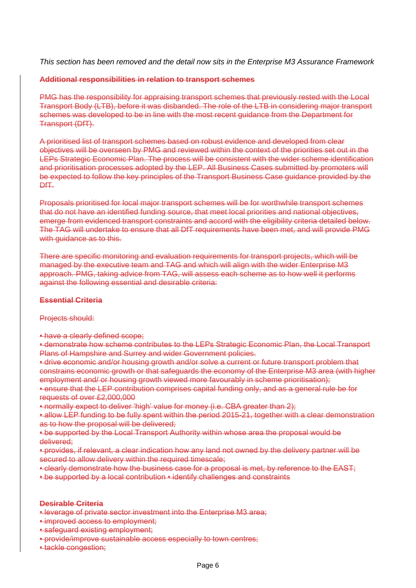*This section has been removed and the detail now sits in the Enterprise M3 Assurance Framework* 

## **Additional responsibilities in relation to transport schemes**

PMG has the responsibility for appraising transport schemes that previously rested with the Local Transport Body (LTB), before it was disbanded. The role of the LTB in considering major transport schemes was developed to be in line with the most recent guidance from the Department for Transport (DfT).

A prioritised list of transport schemes based on robust evidence and developed from clear objectives will be overseen by PMG and reviewed within the context of the priorities set out in the LEPs Strategic Economic Plan. The process will be consistent with the wider scheme identification and prioritisation processes adopted by the LEP. All Business Cases submitted by promoters will be expected to follow the key principles of the Transport Business Case guidance provided by the DfT.

Proposals prioritised for local major transport schemes will be for worthwhile transport schemes that do not have an identified funding source, that meet local priorities and national objectives, emerge from evidenced transport constraints and accord with the eligibility criteria detailed below. The TAG will undertake to ensure that all DfT requirements have been met, and will provide PMG with guidance as to this.

There are specific monitoring and evaluation requirements for transport projects, which will be managed by the executive team and TAG and which will align with the wider Enterprise M3 approach. PMG, taking advice from TAG, will assess each scheme as to how well it performs against the following essential and desirable criteria:

## **Essential Criteria**

## Projects should:

• have a clearly defined scope;

• demonstrate how scheme contributes to the LEPs Strategic Economic Plan, the Local Transport Plans of Hampshire and Surrey and wider Government policies.

• drive economic and/or housing growth and/or solve a current or future transport problem that constrains economic growth or that safeguards the economy of the Enterprise M3 area (with higher employment and/ or housing growth viewed more favourably in scheme prioritisation);

• ensure that the LEP contribution comprises capital funding only, and as a general rule be for requests of over £2,000,000

• normally expect to deliver 'high' value for money (i.e. CBA greater than 2);

• allow LEP funding to be fully spent within the period 2015-21, together with a clear demonstration as to how the proposal will be delivered;

• be supported by the Local Transport Authority within whose area the proposal would be delivered;

• provides, if relevant, a clear indication how any land not owned by the delivery partner will be secured to allow delivery within the required timescale;

- clearly demonstrate how the business case for a proposal is met, by reference to the EAST;
- be supported by a local contribution identify challenges and constraints

## **Desirable Criteria**

- leverage of private sector investment into the Enterprise M3 area;
- improved access to employment:
- safeguard existing employment;
- provide/improve sustainable access especially to town centres;
- tackle congestion;